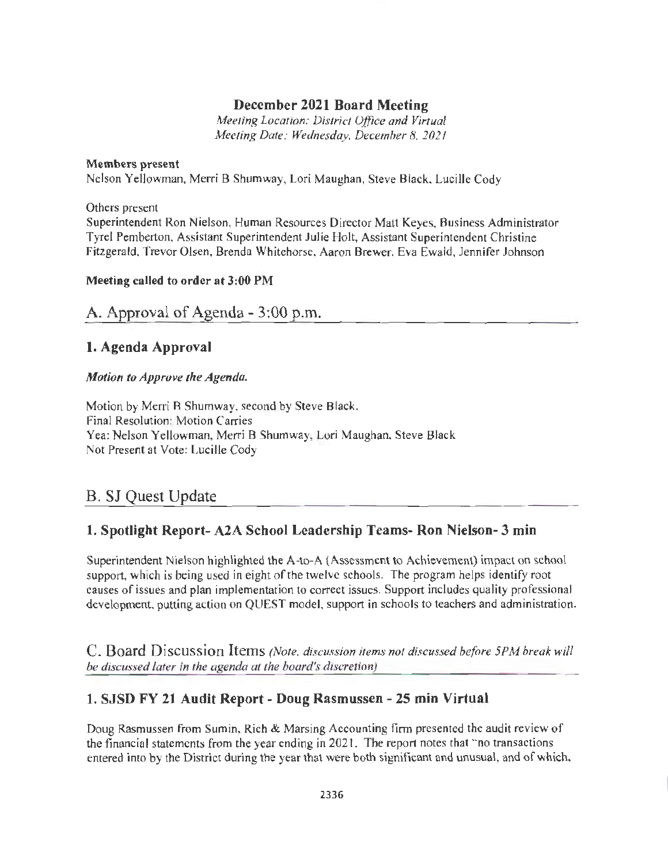## **December 2021 Board Meeting**

*Meeting Location: District Office and Virtual Meeting Date: Wednesday, December 8, 2021* 

#### **Members present**

Nelson Yellowman, Merri B Shumway, Lori Maughan, Steve Black, Lucille Cody

Others present

Superintendent Ron Nielson, Human Resources Director Matt Keyes, Business Administrator Tyrel Pemberton, Assistant Superintendent Julie Holt, Assistant Superintendent Christine Fitzgerald, Trevor Olsen, Brenda Whitehorse, Aaron Brewer, Eva Ewald, Jennifer Johnson

#### **Meeting called to order at 3:00 PM**

A. Approval of Agenda - 3 :00 p.m.

## **1. Agenda Approval**

### *Motion to Approve the Agenda.*

Motion by Merri B Shumway, second by Steve Black. Final Resolution: Motion Carries Yea: Nelson Yellowman, Merri B Shumway, Lori Maughan, Steve Black Not Present at Vote: Lucille Cody

## B. SJ Quest Update

## **1. Spotlight Report- A2A School Leadership Teams- Ron Nielson- 3 min**

Superintendent Nielson highlighted the A-to-A (Assessment to Achievement) impact on school support, which is being used in eight of the twelve schools. The program helps identify root causes of issues and plan implementation to correct issues. Support includes quality professional development, putting action on QUEST model, support in schools to teachers and administration.

C. Board Discussion Items *(Note, discussion items not discussed before 5PM break will be discussed later in the agenda at the board's discretion)* 

## **1. SJSD FY 21 Audit Report** - **Doug Rasmussen** - **25 min Virtual**

Doug Rasmussen from Sumin, Rich & Marsing Accounting firm presented the audit review of the financial statements from the year ending in 2021. The report notes that "no transactions entered into by the District during the year that were both significant and unusual, and of which,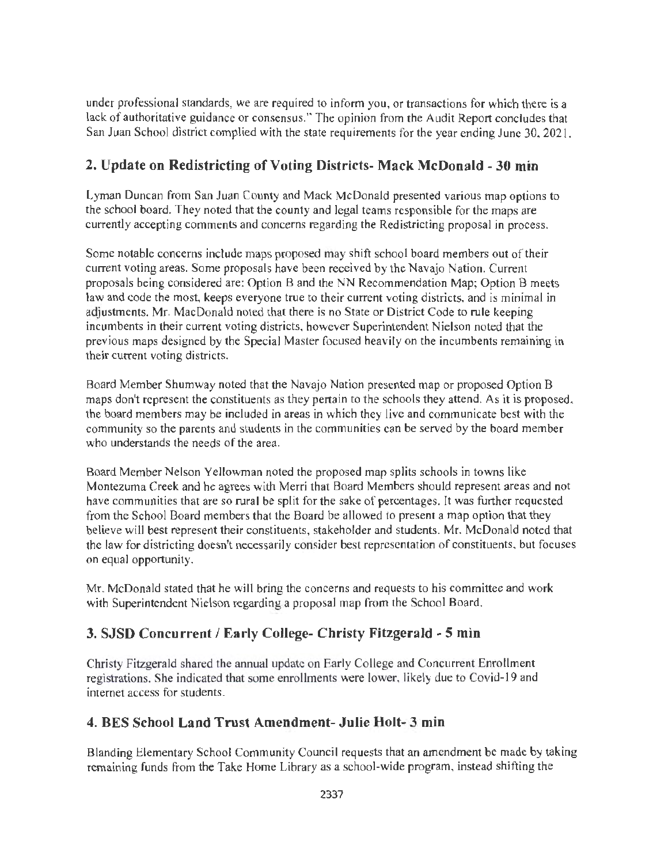under professional standards, we are required to inform you, or transactions for which there is a lack of authoritative guidance or consensus." The opinion from the Audit Report concludes that San Juan School district complied with the state requirements for the year ending June 30, 2021.

# **2. Update on Redistricting of Voting Districts- Mack McDonald - 30 min**

Lyman Duncan from San Juan County and Mack McDonald presented various map options to the school board. They noted that the county and legal teams responsible for the maps are currently accepting comments and concerns regarding the Redistricting proposal in process.

Some notable concerns include maps proposed may shift school board members out of their current voting areas. Some proposals have been received by the Navajo Nation. Current proposals being considered are: Option 8 and the NN Recommendation Map; Option B meets law and code the most, keeps everyone true to their current voting districts, and is minimal in adjustments. Mr. MacDonald noted that there is no State or District Code to rule keeping incumbents in their current voting districts, however Superintendent Nielson noted that the previous maps designed by the Special Master focused heavily on the incumbents remaining in their current voting districts.

Board Member Shumway noted that the Navajo Nation presented map or proposed Option B maps don't represent the constituents as they pertain to the schools they attend. As it is proposed, the board members may be included in areas in which they live and communicate best with the community so the parents and students in the communities can be served by the board member who understands the needs of the area.

Board Member Nelson Yellowman noted the proposed map splits schools in towns like Montezuma Creek and he agrees with Merri that Board Members should represent areas and not have communities that are so rural be split for the sake of percentages. It was further requested from the School Board members that the Board be allowed to present a map option that they believe will best represent their constituents, stakeholder and students. Mr. McDonald noted that the law for districting doesn't necessarily consider best representation of constituents, but focuses on equal opportunity.

Mr. McDonald stated that he will bring the concerns and requests to his committee and work with Superintendent Nielson regarding a proposal map from the School Board.

# **3. SJSD Concurrent / Early College- Christy Fitzgerald - 5 min**

Christy Fitzgerald shared the annual update on Early College and Concurrent Enrollment registrations. She indicated that some enrollments were lower, likely due to Covid-19 and internet access for students.

### **4. BES School Land Trust Amendment- Julie Holt- 3 min**

Blanding Elementary School Community Council requests that an amendment be made by taking remaining funds from the Take Home Library as a school-wide program, instead shifting the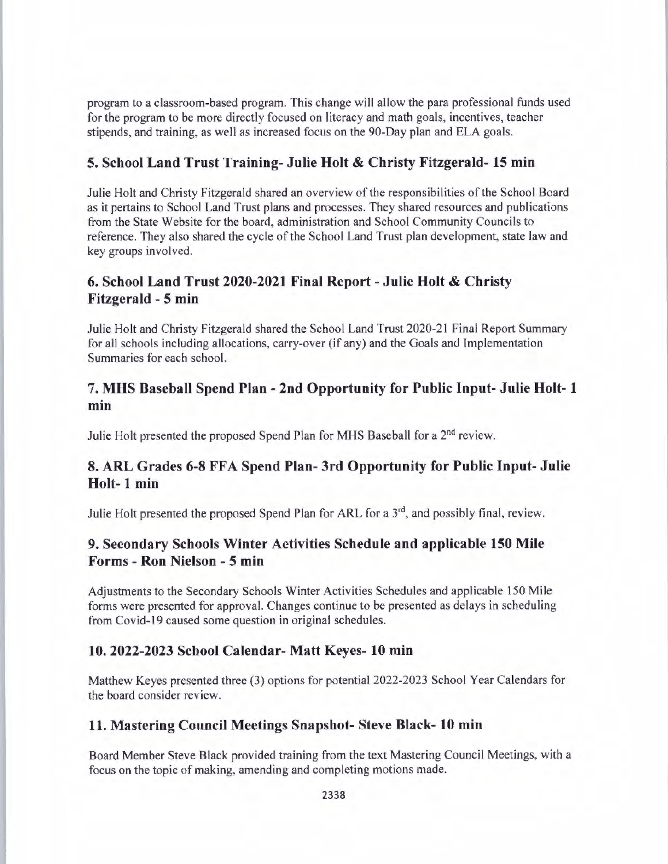program to a classroom-based program. This change will allow the para professional funds used for the program to be more directly focused on literacy and math goals, incentives, teacher stipends, and training, as well as increased focus on the 90-Day plan and ELA goals.

### **5. School Land Trust Training- Julie Holt & Christy Fitzgerald- 15 min**

Julie Holt and Christy Fitzgerald shared an overview of the responsibilities of the School Board as it pertains to School Land Trust plans and processes. They shared resources and publications from the State Website for the board, administration and School Community Councils to reference. They also shared the cycle of the School Land Trust plan development, state law and key groups involved.

### **6. School Land Trust 2020-2021 Final Report - Julie Holt & Christy Fitzgerald - 5 min**

Julie Holt and Christy Fitzgerald shared the School Land Trust 2020-21 Final Report Summary for all schools including allocations, carry-over (if any) and the Goals and Implementation Summaries for each school.

### **7. MHS Baseball Spend Plan - 2nd Opportunity for Public Input- Julie Holt- 1 min**

Julie Holt presented the proposed Spend Plan for MHS Baseball for a 2<sup>nd</sup> review.

## **8. ARL Grades 6-8 FFA Spend Plan- 3rd Opportunity for Public Input- Julie Holt- 1 min**

Julie Holt presented the proposed Spend Plan for ARL for a  $3<sup>rd</sup>$ , and possibly final, review.

## **9. Secondary Schools Winter Activities Schedule and applicable 150 Mile Forms - Ron Nielson - 5 min**

Adjustments to the Secondary Schools Winter Activities Schedules and applicable 150 Mile forms were presented for approval. Changes continue to be presented as delays in scheduling from Covid-19 caused some question in original schedules.

#### **10. 2022-2023 School Calendar- Matt Keyes- 10 min**

Matthew Keyes presented three (3) options for potential 2022-2023 School Year Calendars for the board consider review.

### **11. Mastering Council Meetings Snapshot- Steve Black- 10 min**

Board Member Steve Black provided training from the text Mastering Council Meetings, with a focus on the topic of making, amending and completing motions made.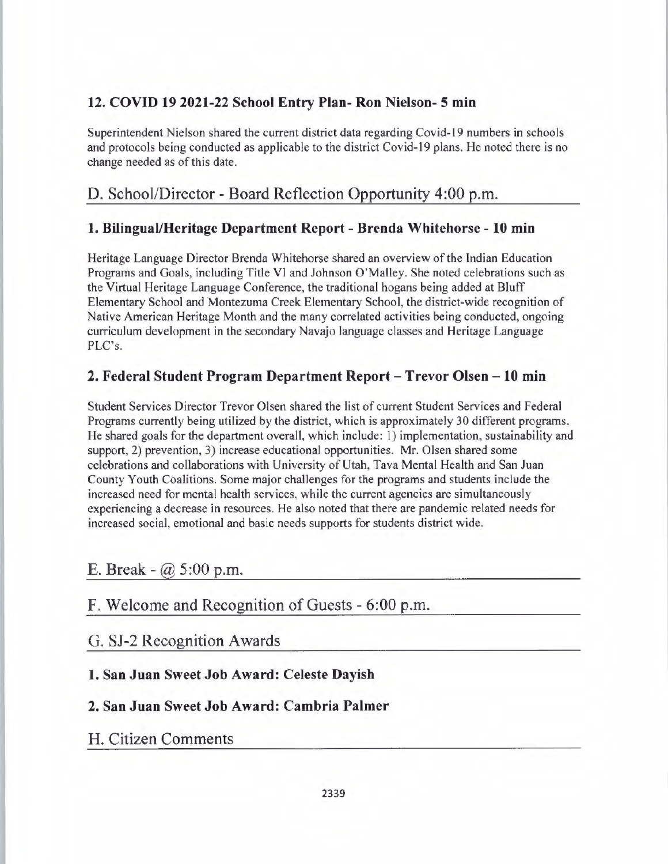# **12. COVID 19 2021-22 School Entry Plan- Ron Nielson- 5 min**

Superintendent Nielson shared the current district data regarding Covid-19 numbers in schools and protocols being conducted as applicable to the district Covid-19 plans. He noted there is no change needed as of this date.

# D. School/Director - Board Reflection Opportunity 4:00 p.m.

## **1. Bilingual/Heritage Department Report - Brenda Whitehorse - 10 min**

Heritage Language Director Brenda Whitehorse shared an overview of the Indian Education Programs and Goals, including Title Vl and Johnson O'Malley. She noted celebrations such as the Virtual Heritage Language Conference, the traditional hogans being added at Bluff Elementary School and Montezuma Creek Elementary School, the district-wide recognition of Native American Heritage Month and the many correlated activities being conducted, ongoing curriculum development in the secondary Navajo language classes and Heritage Language PLC's.

## **2. Federal Student Program Department Report - Trevor Olsen - 10 min**

Student Services Director Trevor Olsen shared the list of current Student Services and Federal Programs currently being utilized by the district, which is approximately 30 different programs. He shared goals for the department overall, which include: 1) implementation, sustainability and support, 2) prevention, 3) increase educational opportunities. Mr. Olsen shared some celebrations and collaborations with University of Utah, Tava Mental Health and San Juan County Youth Coalitions. Some major challenges for the programs and students include the increased need for mental health services, while the current agencies are simultaneously experiencing a decrease in resources. He also noted that there are pandemic related needs for increased social, emotional and basic needs supports for students district wide.

# E. Break  $(a)$  5:00 p.m.

# F. Welcome and Recognition of Guests - 6:00 p.m.

## G. SJ-2 Recognition Awards

### **1. San Juan Sweet Job Award: Celeste Dayish**

## **2. San Juan Sweet Job Award: Cambria Palmer**

## **H.** Citizen Comments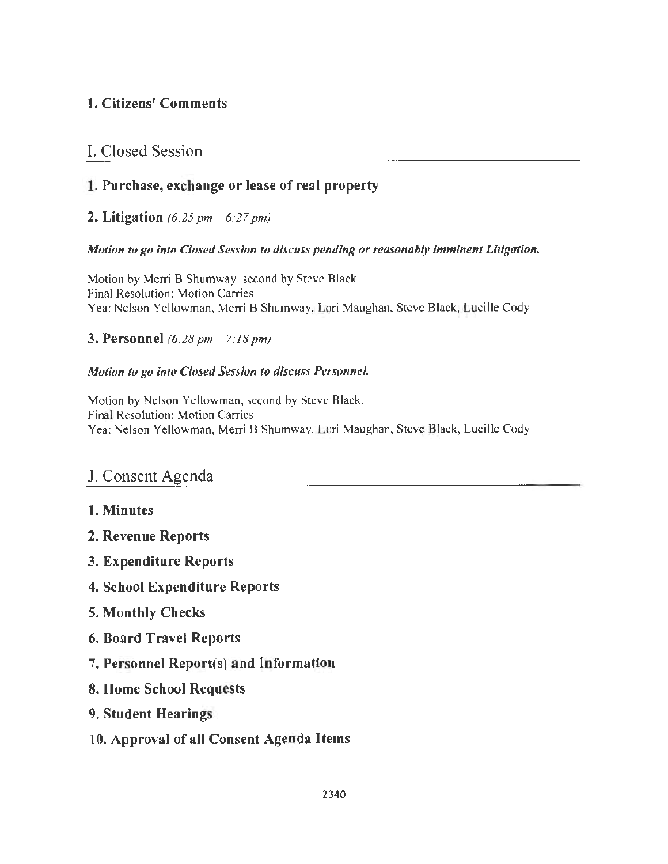# 1. Citizens' Comments

# I. Closed Session

# **1. Purchase, exchange or lease of real property**

## **2. Litigation** *(6:25 pm* - *6:27 pm)*

### *Motion to go into Closed Session to discuss pending or reasonably imminent Litigation.*

Motion by Merri B Shumway, second by Steve Black. Final Resolution: Motion Carries Yea: Nelson Yellowman, Merri B Shumway, Lori Maughan, Steve Black, Lucille Cody

### **3. Personnel** *(6:28pm- 7:18pm)*

### *Motion to go into Closed Session to discuss Personnel.*

Motion by Nelson Yellowman, second by Steve Black. Final Resolution: Motion Carries Yea: Nelson Yellowman, Merri B Shumway, Lori Maughan, Steve Black, Lucille Cody

# J. Consent Agenda

- **1. Minutes**
- **2. Revenue Reports**
- **3. Expenditure Reports**
- **4. School Expenditure Reports**
- **5. Monthly Checks**
- **6. Board Travel Reports**
- 7. **Personnel Report(s) and Information**
- **8. Home School Requests**
- **9. Student Hearings**
- **10. Approval of all Consent Agenda Items**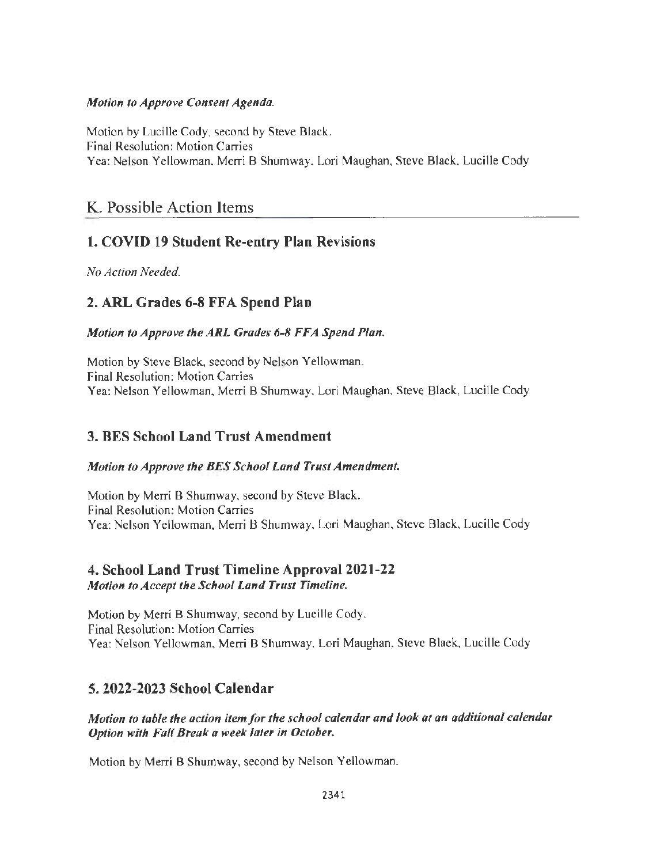### *Motion to Approve Consent Agenda.*

Motion by Lucille Cody, second by Steve Black. Final Resolution: Motion Carries Yea: Nelson Yellowman, Merri B Shumway, Lori Maughan, Steve Black, Lucille Cody

# K. Possible Action Items

# **1. COVID 19 Student Re-entry Plan Revisions**

*No Action Needed.* 

# **2. ARL Grades 6-8 FFA Spend Plan**

### *Motion to Approve theARL Grades 6-8 FFA Spend Plan.*

Motion by Steve Black, second by Nelson Yellowman. Final Resolution: Motion Carries Yea: Nelson Yellowman, Merri B Shumway, Lori Maughan, Steve Black, Lucille Cody

## **3. BES School Land Trust Amendment**

### *Motion to Approve the BES School Land Trust Amendment.*

Motion by Merri **B** Shumway, second by Steve Black. Final Resolution: Motion Carries Yea: Nelson Yellowman, Merri B Shumway, Lori Maughan, Steve Black, Lucille Cody

### **4. School Land Trust Timeline Approval 2021-22**  *Motion to Accept the School Land Trust Timeline.*

Motion by Merri B Shumway, second by Lucille Cody. Final Resolution: Motion Carries Yea: Nelson Yellowman, Merri B Shumway, Lori Maughan, Steve Black, Lucille Cody

## **5. 2022-2023 School Calendar**

*Motion to table the action item/or the school calendar and look at an additional calendar Option with Fall Break a week later in October.* 

Motion by Merri B Shumway, second by Nelson Yellowman.